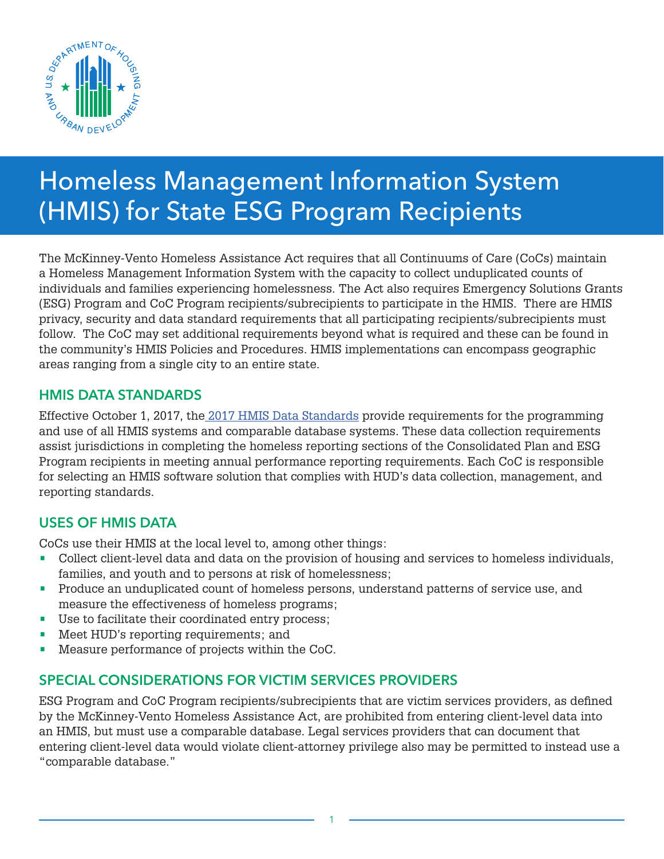

# Homeless Management Information System (HMIS) for State ESG Program Recipients

The McKinney-Vento Homeless Assistance Act requires that all Continuums of Care (CoCs) maintain a Homeless Management Information System with the capacity to collect unduplicated counts of individuals and families experiencing homelessness. The Act also requires Emergency Solutions Grants (ESG) Program and CoC Program recipients/subrecipients to participate in the HMIS. There are HMIS privacy, security and data standard requirements that all participating recipients/subrecipients must follow. The CoC may set additional requirements beyond what is required and these can be found in the community's HMIS Policies and Procedures. HMIS implementations can encompass geographic areas ranging from a single city to an entire state.

#### HMIS DATA STANDARDS

Effective October 1, 2017, th[e 2017 HMIS Data Standards](https://www.hudexchange.info/resource/3824/hmis-data-dictionary/) provide requirements for the programming and use of all HMIS systems and comparable database systems. These data collection requirements assist jurisdictions in completing the homeless reporting sections of the Consolidated Plan and ESG Program recipients in meeting annual performance reporting requirements. Each CoC is responsible for selecting an HMIS software solution that complies with HUD's data collection, management, and reporting standards.

## USES OF HMIS DATA

CoCs use their HMIS at the local level to, among other things:

- Collect client-level data and data on the provision of housing and services to homeless individuals, families, and youth and to persons at risk of homelessness;
- Produce an unduplicated count of homeless persons, understand patterns of service use, and measure the effectiveness of homeless programs;
- Use to facilitate their coordinated entry process;
- Meet HUD's reporting requirements; and
- Measure performance of projects within the CoC.

## SPECIAL CONSIDERATIONS FOR VICTIM SERVICES PROVIDERS

ESG Program and CoC Program recipients/subrecipients that are victim services providers, as defined by the McKinney-Vento Homeless Assistance Act, are prohibited from entering client-level data into an HMIS, but must use a comparable database. Legal services providers that can document that entering client-level data would violate client-attorney privilege also may be permitted to instead use a "comparable database."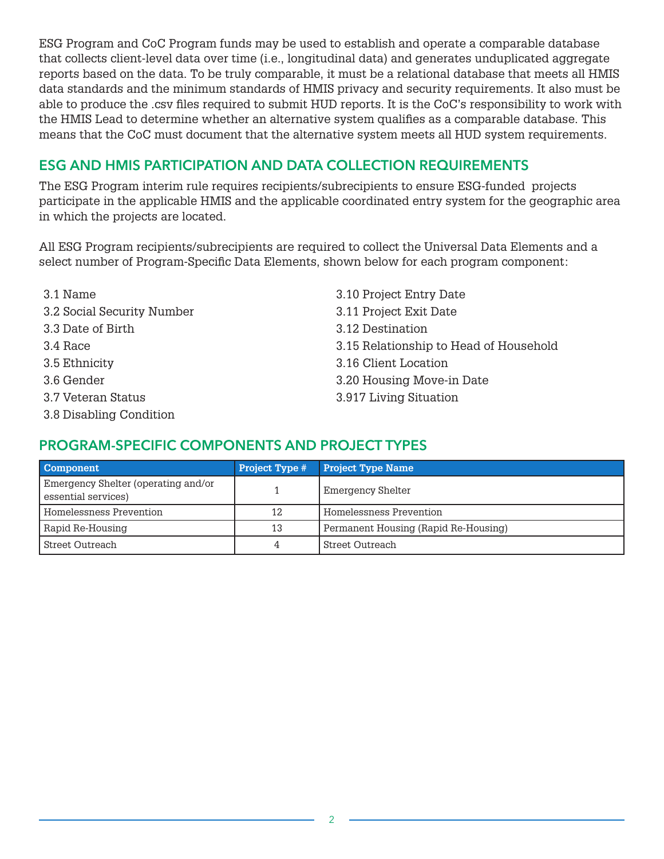ESG Program and CoC Program funds may be used to establish and operate a comparable database that collects client-level data over time (i.e., longitudinal data) and generates unduplicated aggregate reports based on the data. To be truly comparable, it must be a relational database that meets all HMIS data standards and the minimum standards of HMIS privacy and security requirements. It also must be able to produce the .csv files required to submit HUD reports. It is the CoC's responsibility to work with the HMIS Lead to determine whether an alternative system qualifies as a comparable database. This means that the CoC must document that the alternative system meets all HUD system requirements.

# ESG AND HMIS PARTICIPATION AND DATA COLLECTION REQUIREMENTS

The ESG Program interim rule requires recipients/subrecipients to ensure ESG-funded projects participate in the applicable HMIS and the applicable coordinated entry system for the geographic area in which the projects are located.

All ESG Program recipients/subrecipients are required to collect the Universal Data Elements and a select number of Program-Specific Data Elements, shown below for each program component:

- 
- 3.2 Social Security Number 3.11 Project Exit Date
- 3.3 Date of Birth 3.12 Destination
- 
- 
- 
- 
- 3.8 Disabling Condition
- 3.1 Name 3.10 Project Entry Date 3.4 Race 3.15 Relationship to Head of Household 3.5 Ethnicity 3.16 Client Location 3.6 Gender 3.20 Housing Move-in Date 3.7 Veteran Status 3.917 Living Situation

## PROGRAM-SPECIFIC COMPONENTS AND PROJECT TYPES

| <b>Component</b>                                           | <b>Project Type #</b> | <b>Project Type Name</b>             |  |
|------------------------------------------------------------|-----------------------|--------------------------------------|--|
| Emergency Shelter (operating and/or<br>essential services) |                       | Emergency Shelter                    |  |
| Homelessness Prevention                                    | 12                    | Homelessness Prevention              |  |
| Rapid Re-Housing                                           | 13                    | Permanent Housing (Rapid Re-Housing) |  |
| <b>Street Outreach</b>                                     | 4                     | <b>Street Outreach</b>               |  |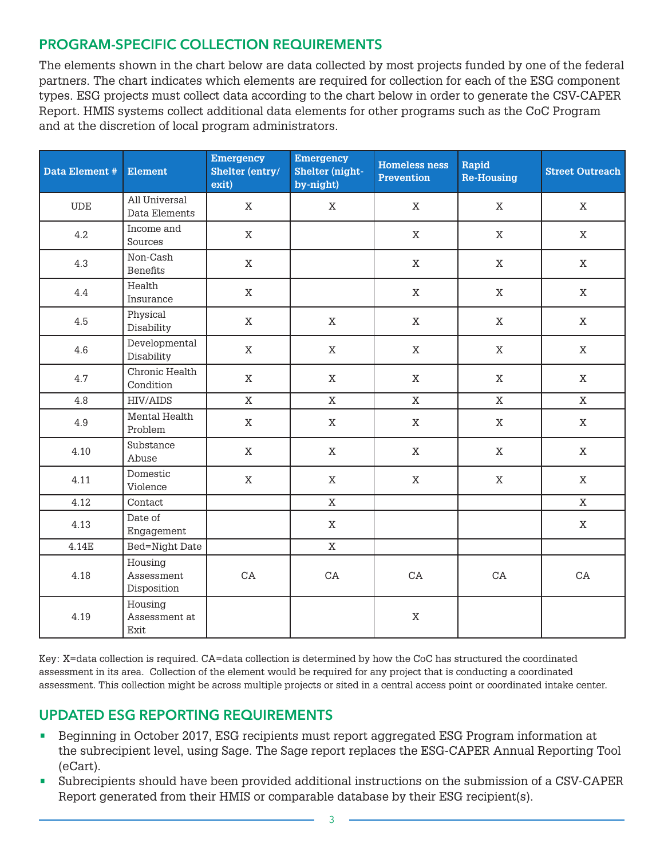#### PROGRAM-SPECIFIC COLLECTION REQUIREMENTS

The elements shown in the chart below are data collected by most projects funded by one of the federal partners. The chart indicates which elements are required for collection for each of the ESG component types. ESG projects must collect data according to the chart below in order to generate the CSV-CAPER Report. HMIS systems collect additional data elements for other programs such as the CoC Program and at the discretion of local program administrators.

| Data Element # | <b>Element</b>                                    | <b>Emergency</b><br>Shelter (entry/<br>exit) | <b>Emergency</b><br>Shelter (night-<br>by-night) | <b>Homeless ness</b><br><b>Prevention</b> | Rapid<br><b>Re-Housing</b> | <b>Street Outreach</b> |
|----------------|---------------------------------------------------|----------------------------------------------|--------------------------------------------------|-------------------------------------------|----------------------------|------------------------|
| <b>UDE</b>     | All Universal<br>Data Elements                    | $\mathbf{X}$                                 | $\mathbf{X}$                                     | $\mathbf X$                               | $\mathbf X$                | $\mathbf X$            |
| 4.2            | Income and<br>Sources                             | $\mathbf X$                                  |                                                  | $\mathbf X$                               | $\mathbf X$                | $\mathbf X$            |
| 4.3            | Non-Cash<br><b>Benefits</b>                       | $\mathbf X$                                  |                                                  | $\mathbf X$                               | $\mathbf X$                | $\mathbf X$            |
| 4.4            | Health<br>Insurance                               | $\mathbf X$                                  |                                                  | $\mathbf X$                               | $\mathbf X$                | $\mathbf X$            |
| 4.5            | Physical<br>Disability                            | $\mathbf X$                                  | $\mathbf X$                                      | $\mathbf X$                               | $\mathbf X$                | $\mathbf X$            |
| 4.6            | Developmental<br>Disability                       | $\mathbf X$                                  | $\mathbf X$                                      | $\mathbf X$                               | $\mathbf X$                | $\mathbf X$            |
| 4.7            | Chronic Health<br>Condition                       | X                                            | $\mathbf X$                                      | X                                         | X                          | X                      |
| 4.8            | <b>HIV/AIDS</b>                                   | $\mathbf X$                                  | $\mathbf X$                                      | $\mathbf X$                               | $\mathbf X$                | $\mathbf{X}$           |
| 4.9            | Mental Health<br>Problem                          | $\rm X$                                      | $\mathbf X$                                      | $\mathbf X$                               | $\mathbf X$                | $\mathbf X$            |
| 4.10           | Substance<br>Abuse                                | $\mathbf X$                                  | $\mathbf X$                                      | $\mathbf X$                               | $\mathbf X$                | $\mathbf X$            |
| 4.11           | Domestic<br>Violence                              | $\mathbf X$                                  | $\mathbf X$                                      | $\mathbf X$                               | $\mathbf X$                | $\mathbf{X}$           |
| 4.12           | Contact                                           |                                              | $\mathbf X$                                      |                                           |                            | $\mathbf X$            |
| 4.13           | Date of<br>Engagement                             |                                              | $\mathbf X$                                      |                                           |                            | $\mathbf X$            |
| 4.14E          | <b>Bed=Night Date</b>                             |                                              | $\mathbf X$                                      |                                           |                            |                        |
| 4.18           | Housing<br>Assessment<br>Disposition              | CA                                           | CA                                               | CA                                        | CA                         | CA                     |
| 4.19           | Housing<br>Assessment at<br>$\operatorname{Exit}$ |                                              |                                                  | $\mathbf X$                               |                            |                        |

Key: X=data collection is required. CA=data collection is determined by how the CoC has structured the coordinated assessment in its area. Collection of the element would be required for any project that is conducting a coordinated assessment. This collection might be across multiple projects or sited in a central access point or coordinated intake center.

#### UPDATED ESG REPORTING REQUIREMENTS

- Beginning in October 2017, ESG recipients must report aggregated ESG Program information at the subrecipient level, using Sage. The Sage report replaces the ESG-CAPER Annual Reporting Tool (eCart).
- Subrecipients should have been provided additional instructions on the submission of a CSV-CAPER Report generated from their HMIS or comparable database by their ESG recipient(s).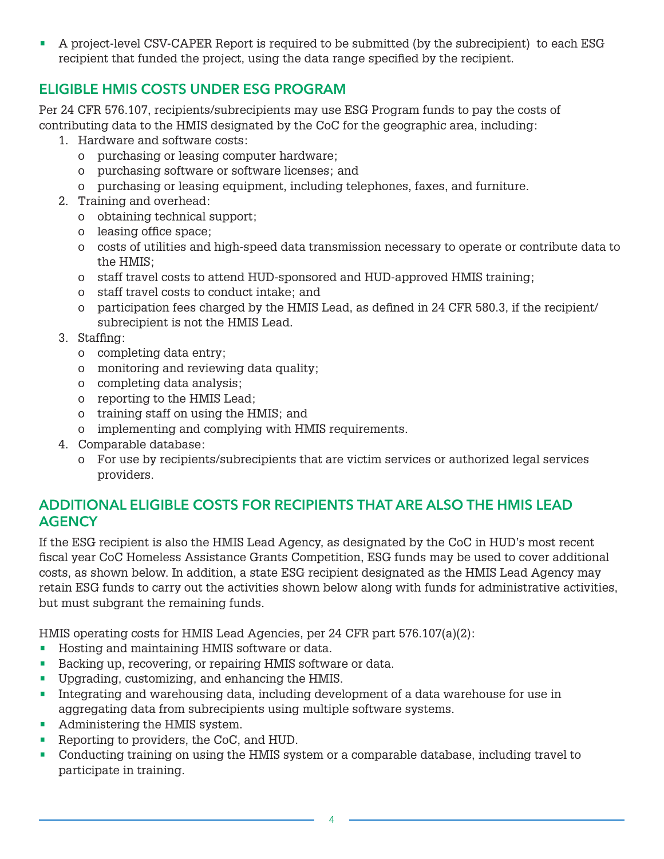• A project-level CSV-CAPER Report is required to be submitted (by the subrecipient) to each ESG recipient that funded the project, using the data range specified by the recipient.

# ELIGIBLE HMIS COSTS UNDER ESG PROGRAM

Per 24 CFR 576.107, recipients/subrecipients may use ESG Program funds to pay the costs of contributing data to the HMIS designated by the CoC for the geographic area, including:

- 1. Hardware and software costs:
	- o purchasing or leasing computer hardware;
	- o purchasing software or software licenses; and
	- o purchasing or leasing equipment, including telephones, faxes, and furniture.
- 2. Training and overhead:
	- o obtaining technical support;
	- o leasing office space;
	- o costs of utilities and high-speed data transmission necessary to operate or contribute data to the HMIS;
	- o staff travel costs to attend HUD-sponsored and HUD-approved HMIS training;
	- o staff travel costs to conduct intake; and
	- o participation fees charged by the HMIS Lead, as defined in 24 CFR 580.3, if the recipient/ subrecipient is not the HMIS Lead.
- 3. Staffing:
	- o completing data entry;
	- o monitoring and reviewing data quality;
	- o completing data analysis;
	- o reporting to the HMIS Lead;
	- o training staff on using the HMIS; and
	- o implementing and complying with HMIS requirements.
- 4. Comparable database:
	- o For use by recipients/subrecipients that are victim services or authorized legal services providers.

#### ADDITIONAL ELIGIBLE COSTS FOR RECIPIENTS THAT ARE ALSO THE HMIS LEAD **AGENCY**

If the ESG recipient is also the HMIS Lead Agency, as designated by the CoC in HUD's most recent fiscal year CoC Homeless Assistance Grants Competition, ESG funds may be used to cover additional costs, as shown below. In addition, a state ESG recipient designated as the HMIS Lead Agency may retain ESG funds to carry out the activities shown below along with funds for administrative activities, but must subgrant the remaining funds.

HMIS operating costs for HMIS Lead Agencies, per 24 CFR part 576.107(a)(2):

- Hosting and maintaining HMIS software or data.
- Backing up, recovering, or repairing HMIS software or data.
- Upgrading, customizing, and enhancing the HMIS.
- Integrating and warehousing data, including development of a data warehouse for use in aggregating data from subrecipients using multiple software systems.
- Administering the HMIS system.
- Reporting to providers, the CoC, and HUD.
- Conducting training on using the HMIS system or a comparable database, including travel to participate in training.